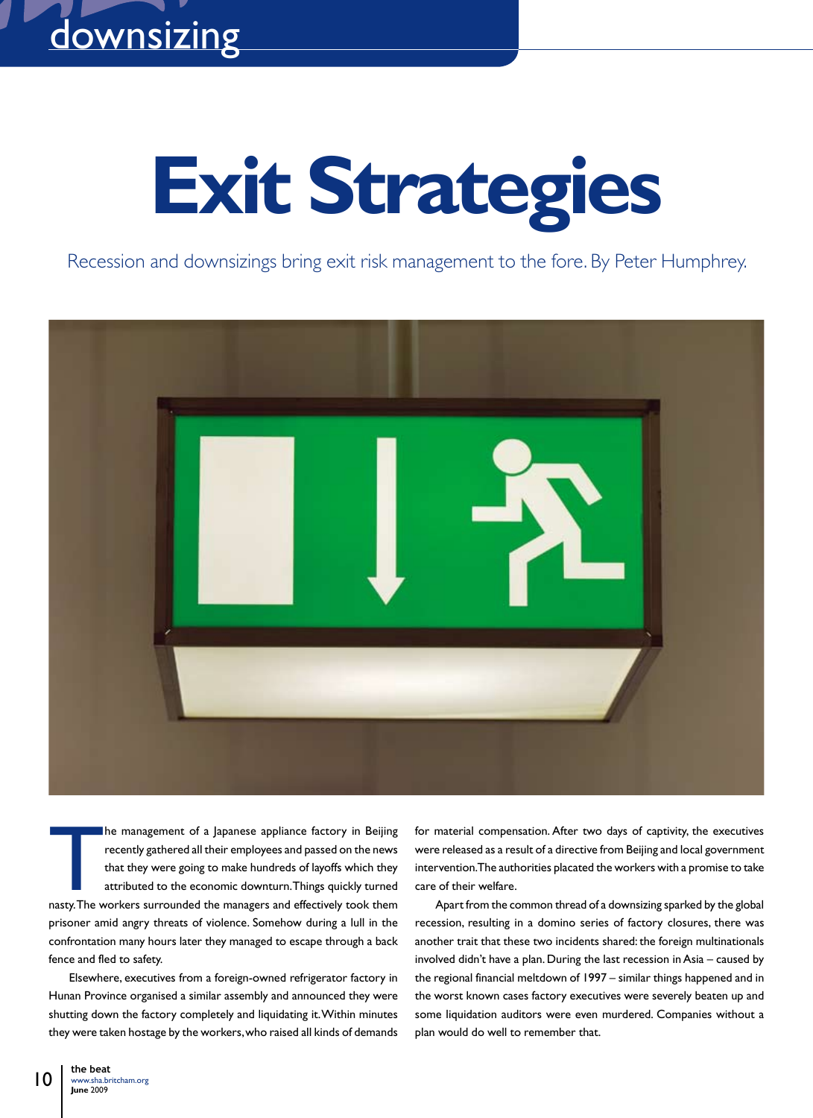# **Exit Strategies**

Recession and downsizings bring exit risk management to the fore. By Peter Humphrey.



he management of a Japanese appliance factory in Beijing recently gathered all their employees and passed on the news that they were going to make hundreds of layoffs which they attributed to the economic downturn. Things quickly turned nasty. The workers surrounded the managers and effectively took them prisoner amid angry threats of violence. Somehow during a lull in the confrontation many hours later they managed to escape through a back fence and fled to safety.

Elsewhere, executives from a foreign-owned refrigerator factory in Hunan Province organised a similar assembly and announced they were shutting down the factory completely and liquidating it. Within minutes they were taken hostage by the workers, who raised all kinds of demands for material compensation. After two days of captivity, the executives were released as a result of a directive from Beijing and local government intervention. The authorities placated the workers with a promise to take care of their welfare.

Apart from the common thread of a downsizing sparked by the global recession, resulting in a domino series of factory closures, there was another trait that these two incidents shared: the foreign multinationals involved didn't have a plan. During the last recession in Asia – caused by the regional financial meltdown of 1997 – similar things happened and in the worst known cases factory executives were severely beaten up and some liquidation auditors were even murdered. Companies without a plan would do well to remember that.